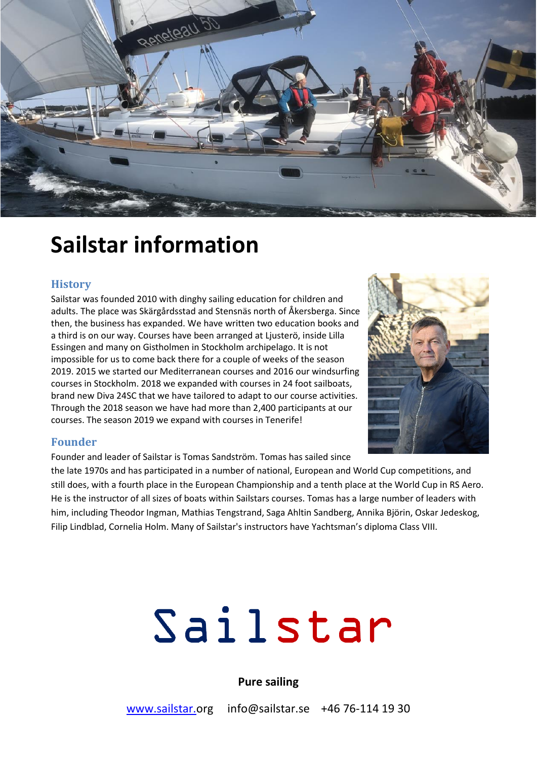

# **Sailstar information**

#### **History**

Sailstar was founded 2010 with dinghy sailing education for children and adults. The place was Skärgårdsstad and Stensnäs north of Åkersberga. Since then, the business has expanded. We have written two education books and a third is on our way. Courses have been arranged at Ljusterö, inside Lilla Essingen and many on Gistholmen in Stockholm archipelago. It is not impossible for us to come back there for a couple of weeks of the season 2019. 2015 we started our Mediterranean courses and 2016 our windsurfing courses in Stockholm. 2018 we expanded with courses in 24 foot sailboats, brand new Diva 24SC that we have tailored to adapt to our course activities. Through the 2018 season we have had more than 2,400 participants at our courses. The season 2019 we expand with courses in Tenerife!



#### **Founder**

Founder and leader of Sailstar is Tomas Sandström. Tomas has sailed since

the late 1970s and has participated in a number of national, European and World Cup competitions, and still does, with a fourth place in the European Championship and a tenth place at the World Cup in RS Aero. He is the instructor of all sizes of boats within Sailstars courses. Tomas has a large number of leaders with him, including Theodor Ingman, Mathias Tengstrand, Saga Ahltin Sandberg, Annika Björin, Oskar Jedeskog, Filip Lindblad, Cornelia Holm. Many of Sailstar's instructors have Yachtsman's diploma Class VIII.

# Sailstar

# **Pure sailing**

www.sailstar.org info@sailstar.se +46 76-114 19 30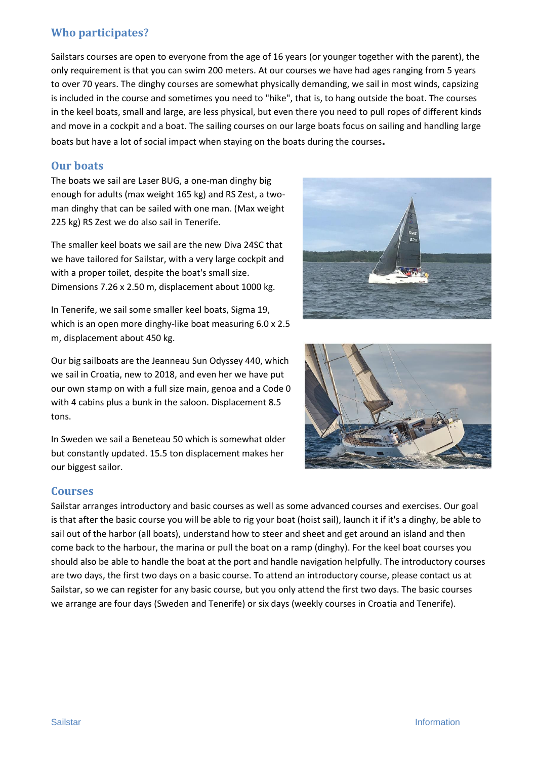# **Who participates?**

Sailstars courses are open to everyone from the age of 16 years (or younger together with the parent), the only requirement is that you can swim 200 meters. At our courses we have had ages ranging from 5 years to over 70 years. The dinghy courses are somewhat physically demanding, we sail in most winds, capsizing is included in the course and sometimes you need to "hike", that is, to hang outside the boat. The courses in the keel boats, small and large, are less physical, but even there you need to pull ropes of different kinds and move in a cockpit and a boat. The sailing courses on our large boats focus on sailing and handling large boats but have a lot of social impact when staying on the boats during the courses**.**

# **Our boats**

The boats we sail are Laser BUG, a one-man dinghy big enough for adults (max weight 165 kg) and RS Zest, a twoman dinghy that can be sailed with one man. (Max weight 225 kg) RS Zest we do also sail in Tenerife.

The smaller keel boats we sail are the new Diva 24SC that we have tailored for Sailstar, with a very large cockpit and with a proper toilet, despite the boat's small size. Dimensions 7.26 x 2.50 m, displacement about 1000 kg.

In Tenerife, we sail some smaller keel boats, Sigma 19, which is an open more dinghy-like boat measuring 6.0 x 2.5 m, displacement about 450 kg.

Our big sailboats are the Jeanneau Sun Odyssey 440, which we sail in Croatia, new to 2018, and even her we have put our own stamp on with a full size main, genoa and a Code 0 with 4 cabins plus a bunk in the saloon. Displacement 8.5 tons.

In Sweden we sail a Beneteau 50 which is somewhat older but constantly updated. 15.5 ton displacement makes her our biggest sailor.





#### **Courses**

Sailstar arranges introductory and basic courses as well as some advanced courses and exercises. Our goal is that after the basic course you will be able to rig your boat (hoist sail), launch it if it's a dinghy, be able to sail out of the harbor (all boats), understand how to steer and sheet and get around an island and then come back to the harbour, the marina or pull the boat on a ramp (dinghy). For the keel boat courses you should also be able to handle the boat at the port and handle navigation helpfully. The introductory courses are two days, the first two days on a basic course. To attend an introductory course, please contact us at Sailstar, so we can register for any basic course, but you only attend the first two days. The basic courses we arrange are four days (Sweden and Tenerife) or six days (weekly courses in Croatia and Tenerife).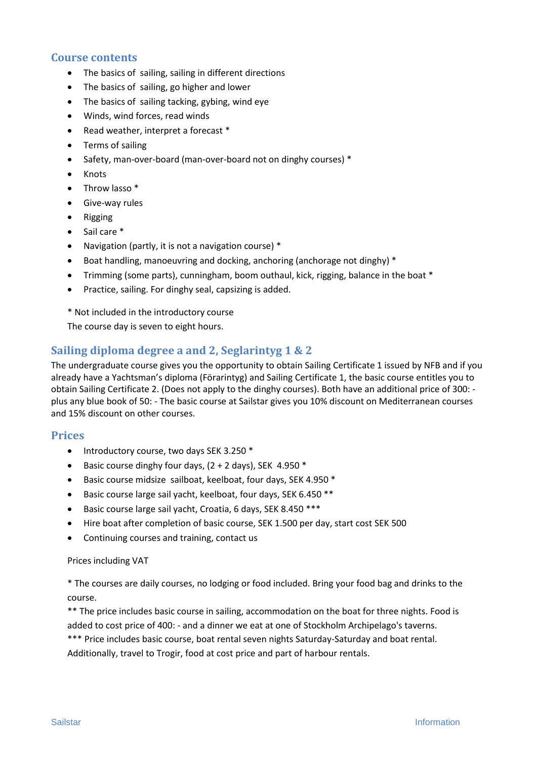#### **Course contents**

- The basics of sailing, sailing in different directions
- The basics of sailing, go higher and lower
- The basics of sailing tacking, gybing, wind eye
- Winds, wind forces, read winds
- Read weather, interpret a forecast \*
- Terms of sailing
- Safety, man-over-board (man-over-board not on dinghy courses) \*
- Knots
- Throw lasso \*
- **•** Give-way rules
- Rigging
- Sail care \*
- Navigation (partly, it is not a navigation course) \*
- Boat handling, manoeuvring and docking, anchoring (anchorage not dinghy) \*
- Trimming (some parts), cunningham, boom outhaul, kick, rigging, balance in the boat \*
- Practice, sailing. For dinghy seal, capsizing is added.

\* Not included in the introductory course

The course day is seven to eight hours.

### **Sailing diploma degree a and 2, Seglarintyg 1 & 2**

The undergraduate course gives you the opportunity to obtain Sailing Certificate 1 issued by NFB and if you already have a Yachtsman's diploma (Förarintyg) and Sailing Certificate 1, the basic course entitles you to obtain Sailing Certificate 2. (Does not apply to the dinghy courses). Both have an additional price of 300: plus any blue book of 50: - The basic course at Sailstar gives you 10% discount on Mediterranean courses and 15% discount on other courses.

#### **Prices**

- Introductory course, two days SEK 3.250  $*$
- Basic course dinghy four days,  $(2 + 2 \text{ days})$ , SEK 4.950  $*$
- Basic course midsize sailboat, keelboat, four days, SEK 4.950 \*
- Basic course large sail yacht, keelboat, four days, SEK 6.450 \*\*
- Basic course large sail yacht, Croatia, 6 days, SEK 8.450 \*\*\*
- Hire boat after completion of basic course, SEK 1.500 per day, start cost SEK 500
- Continuing courses and training, contact us

#### Prices including VAT

\* The courses are daily courses, no lodging or food included. Bring your food bag and drinks to the course.

\*\* The price includes basic course in sailing, accommodation on the boat for three nights. Food is added to cost price of 400: - and a dinner we eat at one of Stockholm Archipelago's taverns.

\*\*\* Price includes basic course, boat rental seven nights Saturday-Saturday and boat rental. Additionally, travel to Trogir, food at cost price and part of harbour rentals.